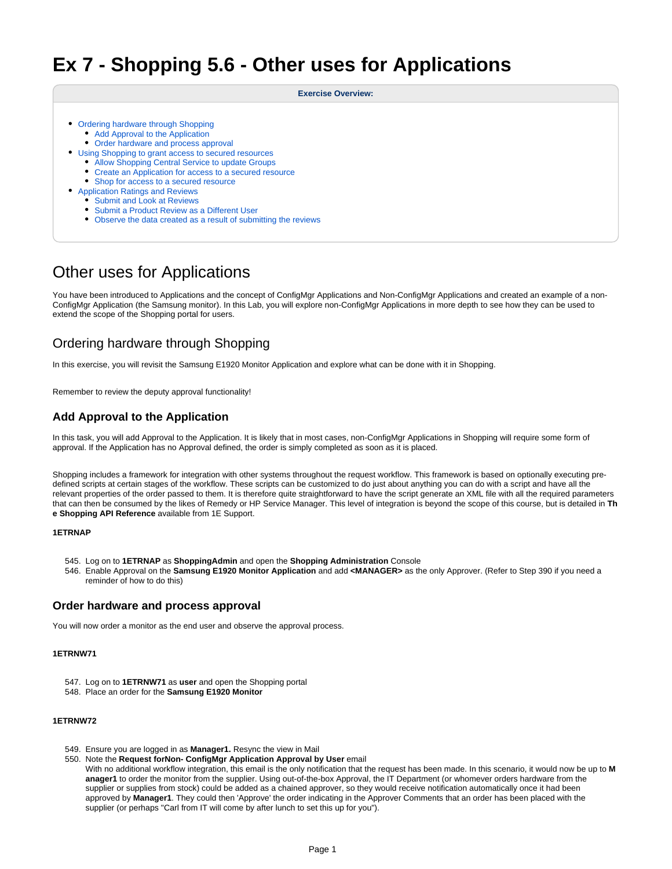# **Ex 7 - Shopping 5.6 - Other uses for Applications**

#### **Exercise Overview:**

- [Ordering hardware through Shopping](#page-0-0)
	- [Add Approval to the Application](#page-0-1)
	- [Order hardware and process approval](#page-0-2)
- [Using Shopping to grant access to secured resources](#page-1-0)
	- [Allow Shopping Central Service to update Groups](#page-1-1)
	- [Create an Application for access to a secured resource](#page-1-2)
	- [Shop for access to a secured resource](#page-2-0)
- [Application Ratings and Reviews](#page-2-1)
	- **[Submit and Look at Reviews](#page-3-0)**
	- [Submit a Product Review as a Different User](#page-3-1)
	- [Observe the data created as a result of submitting the reviews](#page-3-2)

## Other uses for Applications

You have been introduced to Applications and the concept of ConfigMgr Applications and Non-ConfigMgr Applications and created an example of a non-ConfigMgr Application (the Samsung monitor). In this Lab, you will explore non-ConfigMgr Applications in more depth to see how they can be used to extend the scope of the Shopping portal for users.

## <span id="page-0-0"></span>Ordering hardware through Shopping

In this exercise, you will revisit the Samsung E1920 Monitor Application and explore what can be done with it in Shopping.

Remember to review the deputy approval functionality!

## <span id="page-0-1"></span>**Add Approval to the Application**

In this task, you will add Approval to the Application. It is likely that in most cases, non-ConfigMgr Applications in Shopping will require some form of approval. If the Application has no Approval defined, the order is simply completed as soon as it is placed.

Shopping includes a framework for integration with other systems throughout the request workflow. This framework is based on optionally executing predefined scripts at certain stages of the workflow. These scripts can be customized to do just about anything you can do with a script and have all the relevant properties of the order passed to them. It is therefore quite straightforward to have the script generate an XML file with all the required parameters that can then be consumed by the likes of Remedy or HP Service Manager. This level of integration is beyond the scope of this course, but is detailed in **Th e Shopping API Reference** available from 1E Support.

#### **1ETRNAP**

- 545. Log on to **1ETRNAP** as **ShoppingAdmin** and open the **Shopping Administration** Console
- 546. Enable Approval on the **Samsung E1920 Monitor Application** and add **<MANAGER>** as the only Approver. (Refer to Step 390 if you need a reminder of how to do this)

## <span id="page-0-2"></span>**Order hardware and process approval**

You will now order a monitor as the end user and observe the approval process.

#### **1ETRNW71**

- 547. Log on to **1ETRNW71** as **user** and open the Shopping portal
- 548. Place an order for the **Samsung E1920 Monitor**

#### **1ETRNW72**

- 549. Ensure you are logged in as **Manager1.** Resync the view in Mail
- 550. Note the **Request forNon- ConfigMgr Application Approval by User** email

With no additional workflow integration, this email is the only notification that the request has been made. In this scenario, it would now be up to **M anager1** to order the monitor from the supplier. Using out-of-the-box Approval, the IT Department (or whomever orders hardware from the supplier or supplies from stock) could be added as a chained approver, so they would receive notification automatically once it had been approved by **Manager1**. They could then 'Approve' the order indicating in the Approver Comments that an order has been placed with the supplier (or perhaps "Carl from IT will come by after lunch to set this up for you").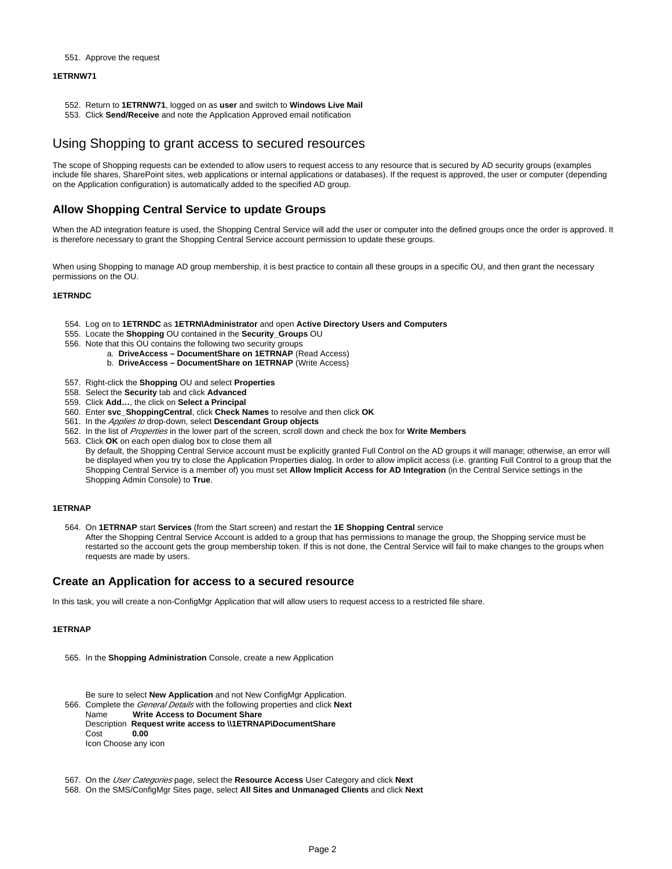#### 551. Approve the request

#### **1ETRNW71**

- 552. Return to **1ETRNW71**, logged on as **user** and switch to **Windows Live Mail**
- 553. Click **Send/Receive** and note the Application Approved email notification

## <span id="page-1-0"></span>Using Shopping to grant access to secured resources

The scope of Shopping requests can be extended to allow users to request access to any resource that is secured by AD security groups (examples include file shares, SharePoint sites, web applications or internal applications or databases). If the request is approved, the user or computer (depending on the Application configuration) is automatically added to the specified AD group.

## <span id="page-1-1"></span>**Allow Shopping Central Service to update Groups**

When the AD integration feature is used, the Shopping Central Service will add the user or computer into the defined groups once the order is approved. It is therefore necessary to grant the Shopping Central Service account permission to update these groups.

When using Shopping to manage AD group membership, it is best practice to contain all these groups in a specific OU, and then grant the necessary permissions on the OU.

#### **1ETRNDC**

- 554. Log on to **1ETRNDC** as **1ETRN\Administrator** and open **Active Directory Users and Computers**
- 555. Locate the **Shopping** OU contained in the **Security\_Groups** OU
- 556. Note that this OU contains the following two security groups
	- a. **DriveAccess DocumentShare on 1ETRNAP** (Read Access)
	- b. **DriveAccess DocumentShare on 1ETRNAP** (Write Access)
- 557. Right-click the **Shopping** OU and select **Properties**
- 558. Select the **Security** tab and click **Advanced**
- 559. Click **Add…**, the click on **Select a Principal**
- 560. Enter **svc\_ShoppingCentral**, click **Check Names** to resolve and then click **OK**
- 561. In the *Applies to* drop-down, select Descendant Group objects
- 562. In the list of Properties in the lower part of the screen, scroll down and check the box for **Write Members**
- 563. Click **OK** on each open dialog box to close them all

By default, the Shopping Central Service account must be explicitly granted Full Control on the AD groups it will manage; otherwise, an error will be displayed when you try to close the Application Properties dialog. In order to allow implicit access (i.e. granting Full Control to a group that the Shopping Central Service is a member of) you must set **Allow Implicit Access for AD Integration** (in the Central Service settings in the Shopping Admin Console) to **True**.

#### **1ETRNAP**

564. On **1ETRNAP** start **Services** (from the Start screen) and restart the **1E Shopping Central** service After the Shopping Central Service Account is added to a group that has permissions to manage the group, the Shopping service must be restarted so the account gets the group membership token. If this is not done, the Central Service will fail to make changes to the groups when requests are made by users.

#### <span id="page-1-2"></span>**Create an Application for access to a secured resource**

In this task, you will create a non-ConfigMgr Application that will allow users to request access to a restricted file share.

#### **1ETRNAP**

- 565. In the **Shopping Administration** Console, create a new Application
- 566. Complete the General Details with the following properties and click **Next** Be sure to select **New Application** and not New ConfigMgr Application. Name **Write Access to Document Share** Description **Request write access to \\1ETRNAP\DocumentShare** Cost **0.00** Icon Choose any icon
- 567. On the User Categories page, select the **Resource Access** User Category and click **Next**
- 568. On the SMS/ConfigMgr Sites page, select **All Sites and Unmanaged Clients** and click **Next**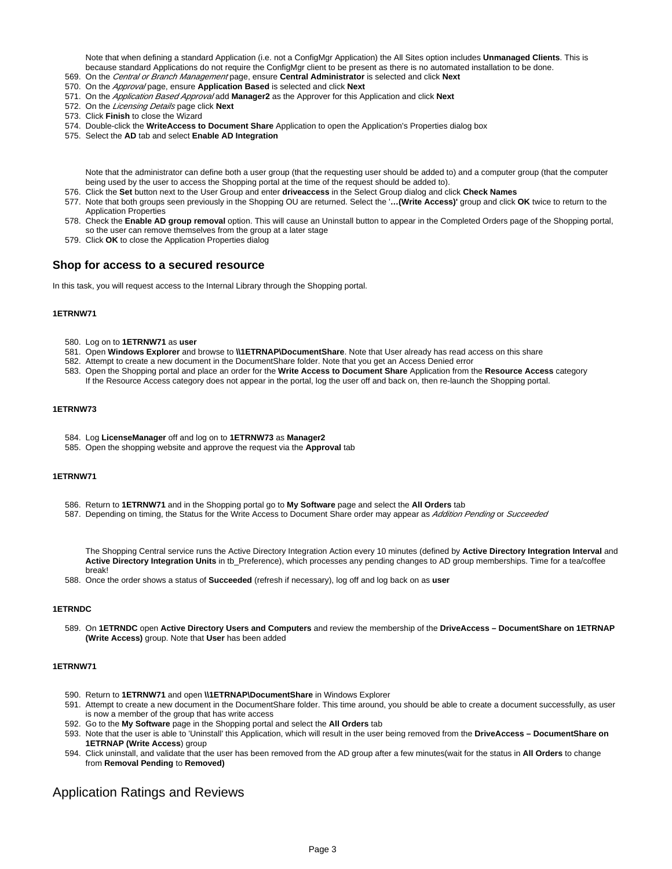Note that when defining a standard Application (i.e. not a ConfigMgr Application) the All Sites option includes **Unmanaged Clients**. This is because standard Applications do not require the ConfigMgr client to be present as there is no automated installation to be done.

- 569. On the Central or Branch Management page, ensure **Central Administrator** is selected and click **Next**
- 570. On the Approval page, ensure **Application Based** is selected and click **Next**
- 571. On the Application Based Approval add **Manager2** as the Approver for this Application and click **Next**
- 572. On the Licensing Details page click **Next**
- 573. Click **Finish** to close the Wizard
- 574. Double-click the **WriteAccess to Document Share** Application to open the Application's Properties dialog box
- 575. Select the **AD** tab and select **Enable AD Integration**

Note that the administrator can define both a user group (that the requesting user should be added to) and a computer group (that the computer being used by the user to access the Shopping portal at the time of the request should be added to).

- 576. Click the **Set** button next to the User Group and enter **driveaccess** in the Select Group dialog and click **Check Names**
- 577. Note that both groups seen previously in the Shopping OU are returned. Select the '**…(Write Access)'** group and click **OK** twice to return to the Application Properties
- 578. Check the **Enable AD group removal** option. This will cause an Uninstall button to appear in the Completed Orders page of the Shopping portal, so the user can remove themselves from the group at a later stage
- 579. Click **OK** to close the Application Properties dialog

## <span id="page-2-0"></span>**Shop for access to a secured resource**

In this task, you will request access to the Internal Library through the Shopping portal.

#### **1ETRNW71**

- 580. Log on to **1ETRNW71** as **user**
- 581. Open **Windows Explorer** and browse to **\\1ETRNAP\DocumentShare**. Note that User already has read access on this share
- 582. Attempt to create a new document in the DocumentShare folder. Note that you get an Access Denied error
- 583. Open the Shopping portal and place an order for the **Write Access to Document Share** Application from the **Resource Access** category If the Resource Access category does not appear in the portal, log the user off and back on, then re-launch the Shopping portal.

#### **1ETRNW73**

- 584. Log **LicenseManager** off and log on to **1ETRNW73** as **Manager2**
- 585. Open the shopping website and approve the request via the **Approval** tab

#### **1ETRNW71**

- 586. Return to **1ETRNW71** and in the Shopping portal go to **My Software** page and select the **All Orders** tab
- 587. Depending on timing, the Status for the Write Access to Document Share order may appear as *Addition Pending* or Succeeded

The Shopping Central service runs the Active Directory Integration Action every 10 minutes (defined by **Active Directory Integration Interval** and **Active Directory Integration Units** in tb\_Preference), which processes any pending changes to AD group memberships. Time for a tea/coffee break!

588. Once the order shows a status of **Succeeded** (refresh if necessary), log off and log back on as **user**

#### **1ETRNDC**

589. On **1ETRNDC** open **Active Directory Users and Computers** and review the membership of the **DriveAccess – DocumentShare on 1ETRNAP (Write Access)** group. Note that **User** has been added

#### **1ETRNW71**

- 590. Return to **1ETRNW71** and open **\\1ETRNAP\DocumentShare** in Windows Explorer
- 591. Attempt to create a new document in the DocumentShare folder. This time around, you should be able to create a document successfully, as user is now a member of the group that has write access
- 592. Go to the **My Software** page in the Shopping portal and select the **All Orders** tab
- 593. Note that the user is able to 'Uninstall' this Application, which will result in the user being removed from the **DriveAccess DocumentShare on 1ETRNAP (Write Access**) group
- 594. Click uninstall, and validate that the user has been removed from the AD group after a few minutes(wait for the status in **All Orders** to change from **Removal Pending** to **Removed)**

## <span id="page-2-1"></span>Application Ratings and Reviews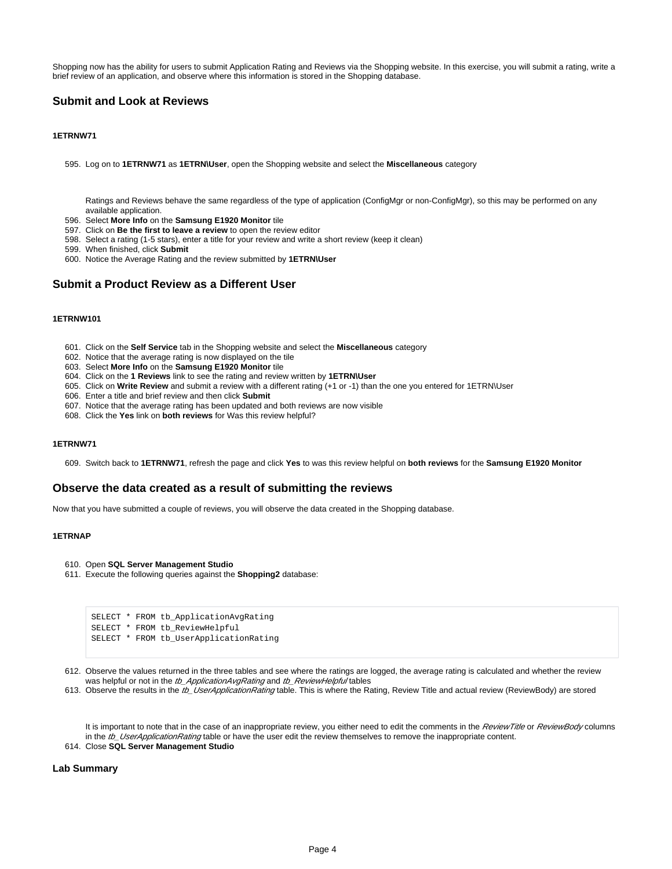Shopping now has the ability for users to submit Application Rating and Reviews via the Shopping website. In this exercise, you will submit a rating, write a brief review of an application, and observe where this information is stored in the Shopping database.

## <span id="page-3-0"></span>**Submit and Look at Reviews**

#### **1ETRNW71**

595. Log on to **1ETRNW71** as **1ETRN\User**, open the Shopping website and select the **Miscellaneous** category

Ratings and Reviews behave the same regardless of the type of application (ConfigMgr or non-ConfigMgr), so this may be performed on any available application.

- 596. Select **More Info** on the **Samsung E1920 Monitor** tile
- 597. Click on **Be the first to leave a review** to open the review editor
- 598. Select a rating (1-5 stars), enter a title for your review and write a short review (keep it clean)
- 599. When finished, click **Submit**
- 600. Notice the Average Rating and the review submitted by **1ETRN\User**

## <span id="page-3-1"></span>**Submit a Product Review as a Different User**

#### **1ETRNW101**

- 601. Click on the **Self Service** tab in the Shopping website and select the **Miscellaneous** category
- 602. Notice that the average rating is now displayed on the tile
- 603. Select **More Info** on the **Samsung E1920 Monitor** tile
- 604. Click on the **1 Reviews** link to see the rating and review written by **1ETRN\User**
- 605. Click on **Write Review** and submit a review with a different rating (+1 or -1) than the one you entered for 1ETRN\User
- 606. Enter a title and brief review and then click **Submit**
- 607. Notice that the average rating has been updated and both reviews are now visible
- 608. Click the **Yes** link on **both reviews** for Was this review helpful?

#### **1ETRNW71**

609. Switch back to **1ETRNW71**, refresh the page and click **Yes** to was this review helpful on **both reviews** for the **Samsung E1920 Monitor**

#### <span id="page-3-2"></span>**Observe the data created as a result of submitting the reviews**

Now that you have submitted a couple of reviews, you will observe the data created in the Shopping database.

#### **1ETRNAP**

- 610. Open **SQL Server Management Studio**
- 611. Execute the following queries against the **Shopping2** database:

```
SELECT * FROM tb_ApplicationAvgRating
SELECT * FROM tb_ReviewHelpful
SELECT * FROM tb_UserApplicationRating
```
612. Observe the values returned in the three tables and see where the ratings are logged, the average rating is calculated and whether the review was helpful or not in the tb\_ApplicationAvgRating and tb\_ReviewHelpful tables

613. Observe the results in the *tb\_UserApplicationRating* table. This is where the Rating, Review Title and actual review (ReviewBody) are stored

It is important to note that in the case of an inappropriate review, you either need to edit the comments in the ReviewTitle or ReviewBody columns in the tb\_UserApplicationRating table or have the user edit the review themselves to remove the inappropriate content.

614. Close **SQL Server Management Studio**

#### **Lab Summary**